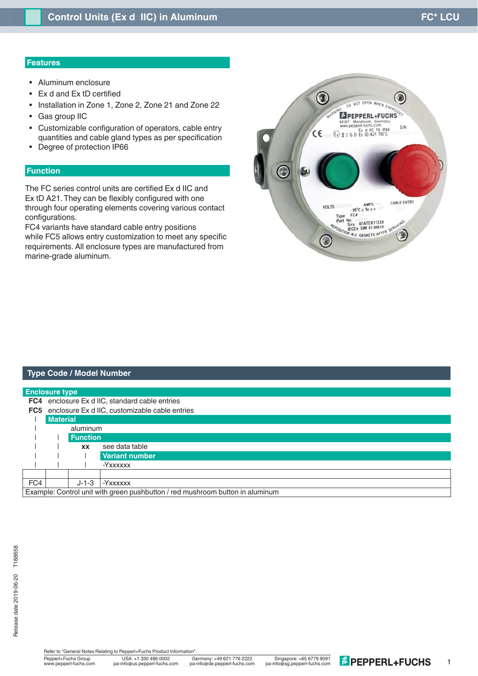## **Features**

- Aluminum enclosure
- Ex d and Ex tD certified
- Installation in Zone 1, Zone 2, Zone 21 and Zone 22
- Gas group IIC
- Customizable configuration of operators, cable entry quantities and cable gland types as per specification
- Degree of protection IP66

# **Function**

The FC series control units are certified Ex d IIC and Ex tD A21. They can be flexibly configured with one through four operating elements covering various contact configurations.

FC4 variants have standard cable entry positions while FC5 allows entry customization to meet any specific requirements. All enclosure types are manufactured from marine-grade aluminum.



## **Type Code / Model Number**

| <b>Enclosure type</b> |                                                                               |                 |                                                |  |  |  |  |
|-----------------------|-------------------------------------------------------------------------------|-----------------|------------------------------------------------|--|--|--|--|
| FC4                   |                                                                               |                 | enclosure Ex d IIC, standard cable entries     |  |  |  |  |
| FC5                   |                                                                               |                 | enclosure Ex d IIC, customizable cable entries |  |  |  |  |
|                       | <b>Material</b>                                                               |                 |                                                |  |  |  |  |
|                       |                                                                               | aluminum        |                                                |  |  |  |  |
|                       |                                                                               | <b>Function</b> |                                                |  |  |  |  |
|                       |                                                                               | <b>XX</b>       | see data table                                 |  |  |  |  |
|                       |                                                                               |                 | <b>Variant number</b>                          |  |  |  |  |
|                       |                                                                               |                 | -Yxxxxxx                                       |  |  |  |  |
|                       |                                                                               |                 |                                                |  |  |  |  |
| FC4                   |                                                                               | $J - 1 - 3$     | . -Yxxxxxx                                     |  |  |  |  |
|                       | Example: Control unit with green pushbutton / red mushroom button in aluminum |                 |                                                |  |  |  |  |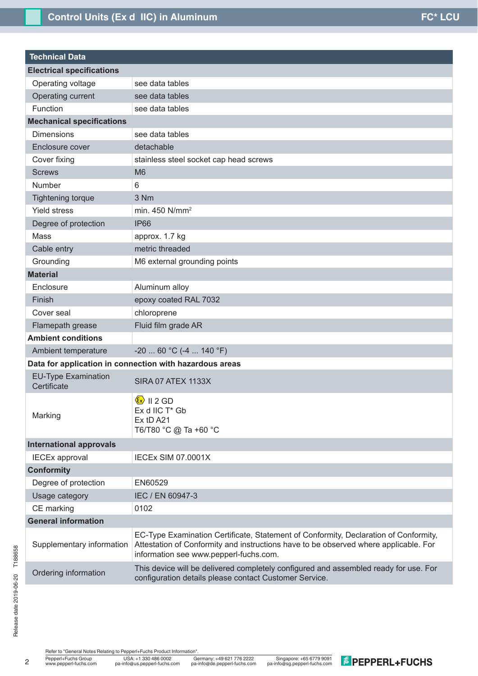| <b>Technical Data</b>                     |                                                                                                                                                                                                                        |
|-------------------------------------------|------------------------------------------------------------------------------------------------------------------------------------------------------------------------------------------------------------------------|
| <b>Electrical specifications</b>          |                                                                                                                                                                                                                        |
| Operating voltage                         | see data tables                                                                                                                                                                                                        |
| Operating current                         | see data tables                                                                                                                                                                                                        |
| Function                                  | see data tables                                                                                                                                                                                                        |
| <b>Mechanical specifications</b>          |                                                                                                                                                                                                                        |
| <b>Dimensions</b>                         | see data tables                                                                                                                                                                                                        |
| Enclosure cover                           | detachable                                                                                                                                                                                                             |
| Cover fixing                              | stainless steel socket cap head screws                                                                                                                                                                                 |
| <b>Screws</b>                             | M <sub>6</sub>                                                                                                                                                                                                         |
| <b>Number</b>                             | 6                                                                                                                                                                                                                      |
| <b>Tightening torque</b>                  | 3 Nm                                                                                                                                                                                                                   |
| <b>Yield stress</b>                       | min. 450 N/mm <sup>2</sup>                                                                                                                                                                                             |
| Degree of protection                      | <b>IP66</b>                                                                                                                                                                                                            |
| Mass                                      | approx. 1.7 kg                                                                                                                                                                                                         |
| Cable entry                               | metric threaded                                                                                                                                                                                                        |
| Grounding                                 | M6 external grounding points                                                                                                                                                                                           |
| <b>Material</b>                           |                                                                                                                                                                                                                        |
| Enclosure                                 | Aluminum alloy                                                                                                                                                                                                         |
| Finish                                    | epoxy coated RAL 7032                                                                                                                                                                                                  |
| Cover seal                                | chloroprene                                                                                                                                                                                                            |
| Flamepath grease                          | Fluid film grade AR                                                                                                                                                                                                    |
| <b>Ambient conditions</b>                 |                                                                                                                                                                                                                        |
| Ambient temperature                       | $-20$ 60 °C (-4  140 °F)                                                                                                                                                                                               |
|                                           | Data for application in connection with hazardous areas                                                                                                                                                                |
| <b>EU-Type Examination</b><br>Certificate | SIRA 07 ATEX 1133X                                                                                                                                                                                                     |
| Marking                                   | $\langle x \rangle$ II 2 GD<br>Ex d IIC T* Gb<br>Ex tD A21<br>T6/T80 °C @ Ta +60 °C                                                                                                                                    |
| <b>International approvals</b>            |                                                                                                                                                                                                                        |
| <b>IECEx approval</b>                     | <b>IECEX SIM 07.0001X</b>                                                                                                                                                                                              |
| <b>Conformity</b>                         |                                                                                                                                                                                                                        |
| Degree of protection                      | EN60529                                                                                                                                                                                                                |
| Usage category                            | IEC / EN 60947-3                                                                                                                                                                                                       |
| CE marking                                | 0102                                                                                                                                                                                                                   |
| <b>General information</b>                |                                                                                                                                                                                                                        |
| Supplementary information                 | EC-Type Examination Certificate, Statement of Conformity, Declaration of Conformity,<br>Attestation of Conformity and instructions have to be observed where applicable. For<br>information see www.pepperl-fuchs.com. |
| Ordering information                      | This device will be delivered completely configured and assembled ready for use. For<br>configuration details please contact Customer Service.                                                                         |

Refer to "General Notes Relating to Pepperl+Fuchs Product Information".

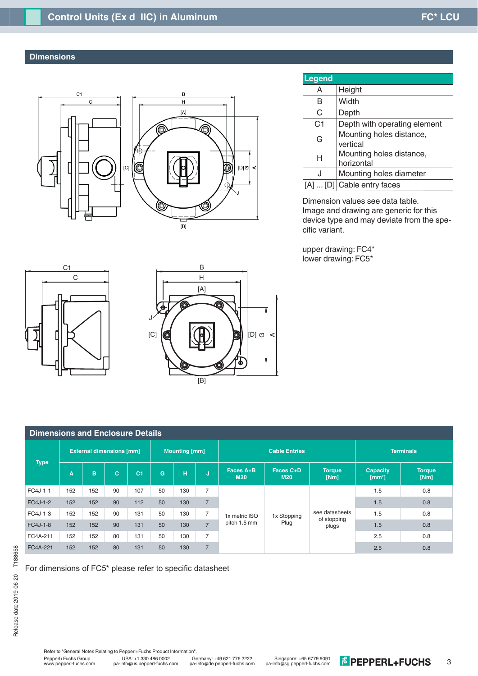# **Dimensions**

l





| <b>Legend</b>  |                                        |
|----------------|----------------------------------------|
| A              | Height                                 |
| в              | Width                                  |
| C              | Depth                                  |
| C <sub>1</sub> | Depth with operating element           |
| G              | Mounting holes distance,<br>vertical   |
| н              | Mounting holes distance,<br>horizontal |
| J              | Mounting holes diameter                |
|                | [D] Cable entry faces                  |

Dimension values see data table. Image and drawing are generic for this device type and may deviate from the specific variant.

upper drawing: FC4\* lower drawing: FC5\*





| <b>Dimensions and Enclosure Details</b> |                                 |     |    |                |                      |     |                |                               |                         |                                        |                                      |                |
|-----------------------------------------|---------------------------------|-----|----|----------------|----------------------|-----|----------------|-------------------------------|-------------------------|----------------------------------------|--------------------------------------|----------------|
| <b>Type</b>                             | <b>External dimensions [mm]</b> |     |    |                | <b>Mounting [mm]</b> |     |                | <b>Cable Entries</b>          |                         |                                        | <b>Terminals</b>                     |                |
|                                         | A                               | B   | C. | C <sub>1</sub> | G.                   | H   | u              | Faces A+B<br><b>M20</b>       | Faces C+D<br><b>M20</b> | <b>Torque</b><br>[Nm]                  | <b>Capacity</b><br>$\mathrm{[mm^2]}$ | Torque<br>[Nm] |
| FC4J-1-1                                | 152                             | 152 | 90 | 107            | 50                   | 130 | $\overline{7}$ | 1x metric ISO<br>pitch 1.5 mm | 1x Stopping<br>Plug     | see datasheets<br>of stopping<br>plugs | 1.5                                  | 0.8            |
| FC4J-1-2                                | 152                             | 152 | 90 | 112            | 50                   | 130 | $\overline{7}$ |                               |                         |                                        | 1.5                                  | 0.8            |
| FC4J-1-3                                | 152                             | 152 | 90 | 131            | 50                   | 130 | $\overline{7}$ |                               |                         |                                        | 1.5                                  | 0.8            |
| FC4J-1-8                                | 152                             | 152 | 90 | 131            | 50                   | 130 | $\overline{7}$ |                               |                         |                                        | 1.5                                  | 0.8            |
| FC4A-211                                | 152                             | 152 | 80 | 131            | 50                   | 130 | $\overline{7}$ |                               |                         |                                        | 2.5                                  | 0.8            |
| FC4A-221                                | 152                             | 152 | 80 | 131            | 50                   | 130 | $\overline{7}$ |                               |                         |                                        | 2.5                                  | 0.8            |

For dimensions of FC5\* please refer to specific datasheet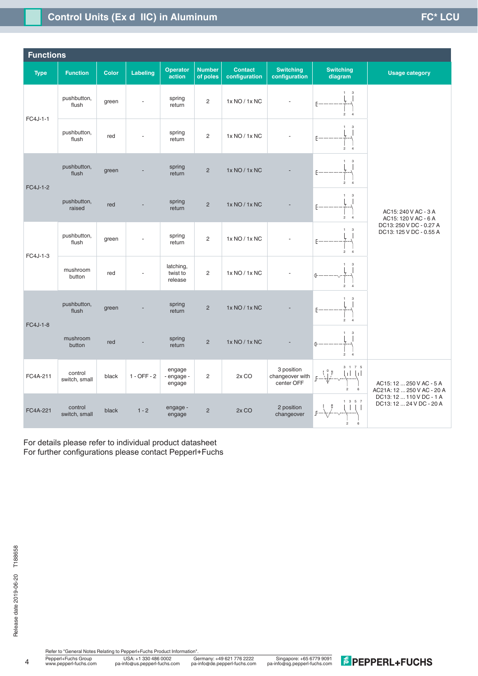# **Control Units (Ex d IIC) in Aluminum and Control District Control District CU**

| <b>Functions</b> |                          |              |               |                                  |                           |                                 |                                             |                                                                              |                                                        |  |
|------------------|--------------------------|--------------|---------------|----------------------------------|---------------------------|---------------------------------|---------------------------------------------|------------------------------------------------------------------------------|--------------------------------------------------------|--|
| <b>Type</b>      | <b>Function</b>          | <b>Color</b> | Labeling      | <b>Operator</b><br>action        | <b>Number</b><br>of poles | <b>Contact</b><br>configuration | <b>Switching</b><br>configuration           | <b>Switching</b><br>diagram                                                  | <b>Usage category</b>                                  |  |
| FC4J-1-1         | pushbutton,<br>flush     | green        |               | spring<br>return                 | $\overline{2}$            | 1x NO / 1x NC                   |                                             | 3<br>F------------<br>2 <sub>4</sub>                                         |                                                        |  |
|                  | pushbutton,<br>flush     | red          |               | spring<br>return                 | $\overline{2}$            | 1x NO / 1x NC                   |                                             | $\overline{\mathbf{3}}$<br>F<br>2 <sub>4</sub>                               |                                                        |  |
| FC4J-1-2         | pushbutton,<br>flush     | green        |               | spring<br>return                 | $\overline{2}$            | 1x NO / 1x NC                   |                                             | $1 \quad 3$<br>F------------<br>$\overline{a}$<br>$\overline{4}$             | AC15: 240 V AC - 3 A<br>AC15: 120 V AC - 6 A           |  |
|                  | pushbutton,<br>raised    | red          |               | spring<br>return                 | $\overline{2}$            | 1x NO / 1x NC                   |                                             | $\ensuremath{\mathsf{3}}$<br>F----------<br>$\overline{a}$<br>$\overline{4}$ |                                                        |  |
| FC4J-1-3         | pushbutton,<br>flush     | green        |               | spring<br>return                 | $\overline{2}$            | 1x NO / 1x NC                   |                                             | $_{\rm 3}$<br>1<br>F------------<br>2 <sub>4</sub>                           | DC13: 250 V DC - 0.27 A<br>DC13: 125 V DC - 0.55 A     |  |
|                  | mushroom<br>button       | red          |               | latching,<br>twist to<br>release | $\overline{2}$            | 1x NO / 1x NC                   |                                             | $\overline{\mathbf{3}}$<br>1<br>$2 \quad 4$                                  |                                                        |  |
| FC4J-1-8         | pushbutton,<br>flush     | green        |               | spring<br>return                 | $\overline{2}$            | 1x NO / 1x NC                   |                                             | $\mathbf{3}$<br>1<br><b>F</b> --------<br>$2 \quad 4$                        |                                                        |  |
|                  | mushroom<br>button       | red          |               | spring<br>return                 | $\overline{2}$            | 1x NO / 1x NC                   |                                             | $_{\rm 3}$<br>1<br>$($ --------<br>2 <sub>4</sub>                            |                                                        |  |
| FC4A-211         | control<br>switch, small | black        | $1 - OFF - 2$ | engage<br>- engage -<br>engage   | $\overline{2}$            | 2x CO                           | 3 position<br>changeover with<br>center OFF | 3 1 7 5<br>τH<br>$\mathbf{1}$<br>$\mathfrak{p}$<br>6                         | AC15: 12  250 V AC - 5 A<br>AC21A: 12  250 V AC - 20 A |  |
| FC4A-221         | control<br>switch, small | black        | $1 - 2$       | engage -<br>engage               | $\overline{c}$            | $2x$ CO                         | 2 position<br>changeover                    | 1357<br>П<br>6<br>2                                                          | DC13: 12  110 V DC - 1 A<br>DC13: 12  24 V DC - 20 A   |  |

For details please refer to individual product datasheet For further configurations please contact Pepperl+Fuchs

Pepperl+Fuchs Group Germany: +49 621 776 2222 USA: +1 330 486 0002 Singapore: +65 6779 9091 www.pepperl-fuchs.com pa-info@us.pepperl-fuchs.com pa-info@sg.pepperl-fuchs.com pa-info@de.pepperl-fuchs.com Refer to "General Notes Relating to Pepperl+Fuchs Product Information"<br>
Pepperl+Fuchs Group<br>
Www.pepperl-fuchs.com pa-info@us.pepperl-fuchs.com pa-